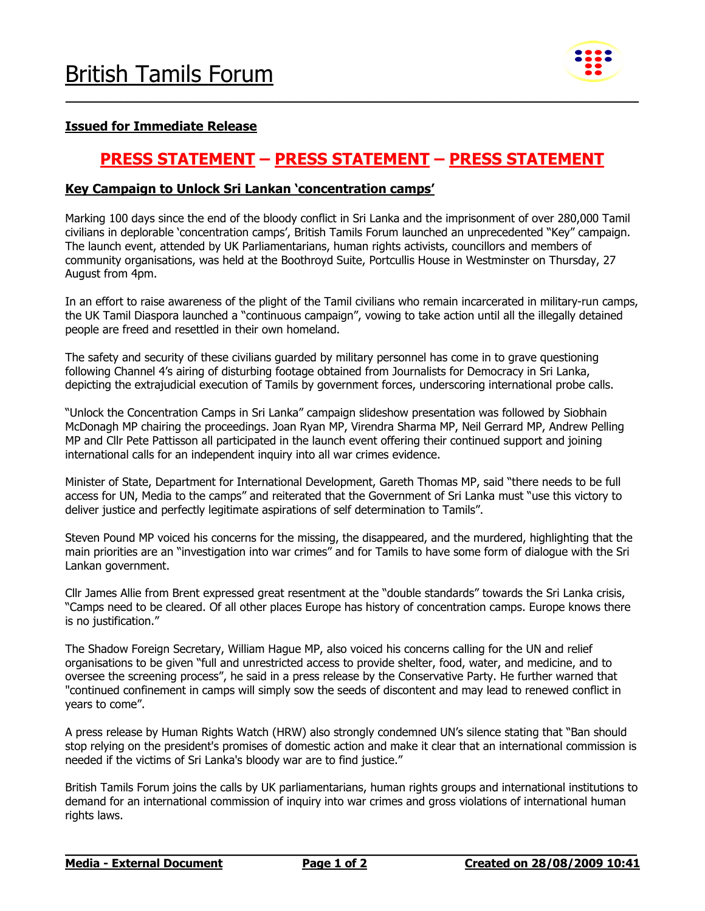

### Issued for Immediate Release

## PRESS STATEMENT – PRESS STATEMENT – PRESS STATEMENT

\_\_\_\_\_\_\_\_\_\_\_\_\_\_\_\_\_\_\_\_\_\_\_\_\_\_\_\_\_\_\_\_\_\_\_\_\_\_\_\_\_\_\_\_\_\_\_\_\_\_\_\_\_\_\_\_\_\_\_\_\_\_\_\_\_\_\_\_\_\_\_\_\_\_\_\_\_\_\_\_\_\_\_

### Key Campaign to Unlock Sri Lankan 'concentration camps'

Marking 100 days since the end of the bloody conflict in Sri Lanka and the imprisonment of over 280,000 Tamil civilians in deplorable 'concentration camps', British Tamils Forum launched an unprecedented "Key" campaign. The launch event, attended by UK Parliamentarians, human rights activists, councillors and members of community organisations, was held at the Boothroyd Suite, Portcullis House in Westminster on Thursday, 27 August from 4pm.

In an effort to raise awareness of the plight of the Tamil civilians who remain incarcerated in military-run camps, the UK Tamil Diaspora launched a "continuous campaign", vowing to take action until all the illegally detained people are freed and resettled in their own homeland.

The safety and security of these civilians guarded by military personnel has come in to grave questioning following Channel 4's airing of disturbing footage obtained from Journalists for Democracy in Sri Lanka, depicting the extrajudicial execution of Tamils by government forces, underscoring international probe calls.

"Unlock the Concentration Camps in Sri Lanka" campaign slideshow presentation was followed by Siobhain McDonagh MP chairing the proceedings. Joan Ryan MP, Virendra Sharma MP, Neil Gerrard MP, Andrew Pelling MP and Cllr Pete Pattisson all participated in the launch event offering their continued support and joining international calls for an independent inquiry into all war crimes evidence.

Minister of State, Department for International Development, Gareth Thomas MP, said "there needs to be full access for UN, Media to the camps" and reiterated that the Government of Sri Lanka must "use this victory to deliver justice and perfectly legitimate aspirations of self determination to Tamils".

Steven Pound MP voiced his concerns for the missing, the disappeared, and the murdered, highlighting that the main priorities are an "investigation into war crimes" and for Tamils to have some form of dialogue with the Sri Lankan government.

Cllr James Allie from Brent expressed great resentment at the "double standards" towards the Sri Lanka crisis, "Camps need to be cleared. Of all other places Europe has history of concentration camps. Europe knows there is no justification."

The Shadow Foreign Secretary, William Hague MP, also voiced his concerns calling for the UN and relief organisations to be given "full and unrestricted access to provide shelter, food, water, and medicine, and to oversee the screening process", he said in a press release by the Conservative Party. He further warned that "continued confinement in camps will simply sow the seeds of discontent and may lead to renewed conflict in years to come".

A press release by Human Rights Watch (HRW) also strongly condemned UN's silence stating that "Ban should stop relying on the president's promises of domestic action and make it clear that an international commission is needed if the victims of Sri Lanka's bloody war are to find justice."

British Tamils Forum joins the calls by UK parliamentarians, human rights groups and international institutions to demand for an international commission of inquiry into war crimes and gross violations of international human rights laws.

 $\mathcal{L}_\mathcal{L} = \{ \mathcal{L}_\mathcal{L} = \{ \mathcal{L}_\mathcal{L} = \{ \mathcal{L}_\mathcal{L} = \{ \mathcal{L}_\mathcal{L} = \{ \mathcal{L}_\mathcal{L} = \{ \mathcal{L}_\mathcal{L} = \{ \mathcal{L}_\mathcal{L} = \{ \mathcal{L}_\mathcal{L} = \{ \mathcal{L}_\mathcal{L} = \{ \mathcal{L}_\mathcal{L} = \{ \mathcal{L}_\mathcal{L} = \{ \mathcal{L}_\mathcal{L} = \{ \mathcal{L}_\mathcal{L} = \{ \mathcal{L}_\mathcal{$